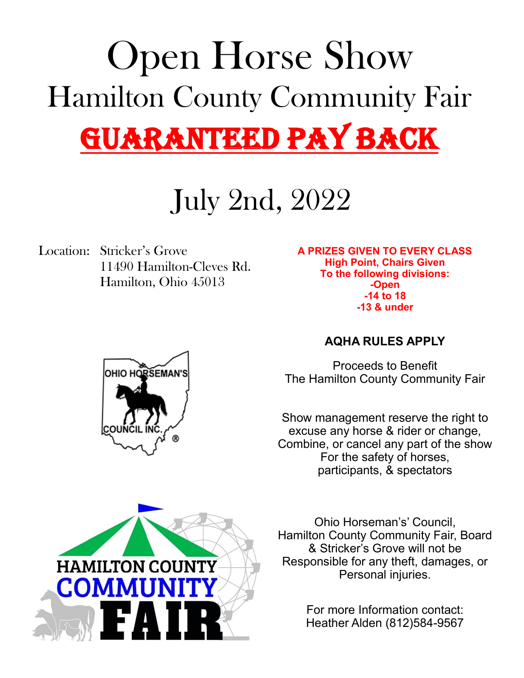# Open Horse Show Hamilton County Community Fair Guaranteed Pay Back

## July 2nd, 2022

Location: Stricker's Grove 11490 Hamilton-Cleves Rd. Hamilton, Ohio 45013

#### **A PRIZES GIVEN TO EVERY CLASS High Point, Chairs Given To the following divisions: -Open -14 to 18 -13 & under**

### **AQHA RULES APPLY**

Proceeds to Benefit The Hamilton County Community Fair

Show management reserve the right to excuse any horse & rider or change, Combine, or cancel any part of the show For the safety of horses, participants, & spectators

Ohio Horseman's' Council, Hamilton County Community Fair, Board & Stricker's Grove will not be Responsible for any theft, damages, or Personal injuries.

> For more Information contact: Heather Alden (812)584-9567